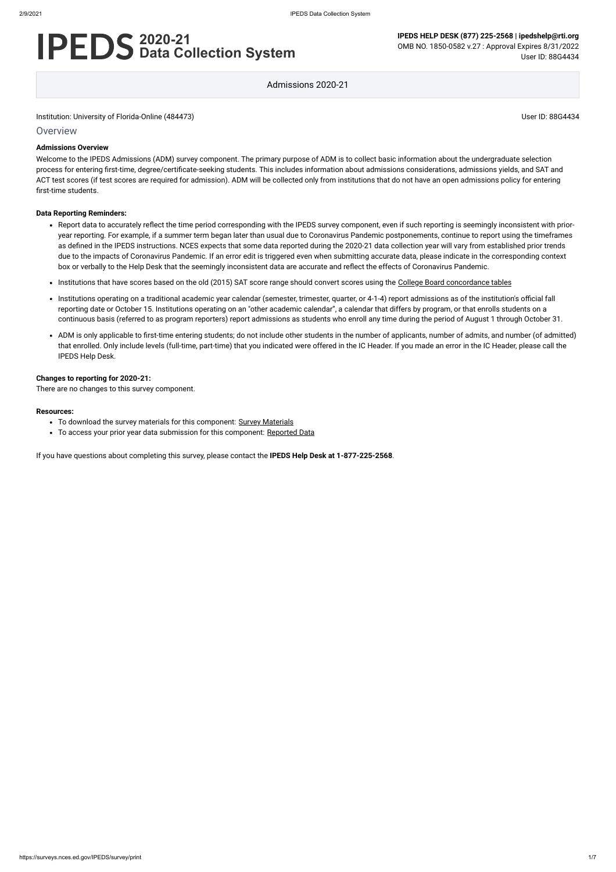Institution: University of Florida-Online (484473) User ID: 88G4434

**Overview** 

# **2020-21 Data Collection System**

**IPEDS HELP DESK (877) 225-2568 | ipedshelp@rti.org** OMB NO. 1850-0582 v.27 : Approval Expires 8/31/2022 User ID: 88G4434

Admissions 2020-21

#### **Admissions Overview**

Welcome to the IPEDS Admissions (ADM) survey component. The primary purpose of ADM is to collect basic information about the undergraduate selection process for entering first-time, degree/certificate-seeking students. This includes information about admissions considerations, admissions yields, and SAT and ACT test scores (if test scores are required for admission). ADM will be collected only from institutions that do not have an open admissions policy for entering first-time students.

#### **Data Reporting Reminders:**

- To download the survey materials for this component: Survey [Materials](https://surveys.nces.ed.gov/ipeds/public/survey-materials/index)
- To access your prior year data submission for this component: [Reported Data](https://surveys.nces.ed.gov/IPEDS_py/DataForms.aspx?f0e9e4efc4dfb8afb3afafb2aea1eef0edf1e0f4c4dfb8acafa1f0eee0edc4dfb8b3b3c2afafaeafa1f0e9e4efc9dce8e0b8d0e9e4f1e0edeee4eff49beae19bc1e7eaede4dfdca8cae9e7e4e9e0a1ebedeadee0eeeeb8e0f3efe0ede9dce7a1eddfefb8adaab4aaadabadac9bacabb5aeb1b5afab9bbcc8)
- Report data to accurately reflect the time period corresponding with the IPEDS survey component, even if such reporting is seemingly inconsistent with prioryear reporting. For example, if a summer term began later than usual due to Coronavirus Pandemic postponements, continue to report using the timeframes as defined in the IPEDS instructions. NCES expects that some data reported during the 2020-21 data collection year will vary from established prior trends due to the impacts of Coronavirus Pandemic. If an error edit is triggered even when submitting accurate data, please indicate in the corresponding context box or verbally to the Help Desk that the seemingly inconsistent data are accurate and reflect the effects of Coronavirus Pandemic.
- Institutions that have scores based on the old (2015) SAT score range should convert scores using the [College Board concordance tables](https://collegereadiness.collegeboard.org/educators/higher-ed/scoring-changes/concordance)
- Institutions operating on a traditional academic year calendar (semester, trimester, quarter, or 4-1-4) report admissions as of the institution's official fall reporting date or October 15. Institutions operating on an "other academic calendar", a calendar that differs by program, or that enrolls students on a continuous basis (referred to as program reporters) report admissions as students who enroll any time during the period of August 1 through October 31.
- ADM is only applicable to first-time entering students; do not include other students in the number of applicants, number of admits, and number (of admitted) that enrolled. Only include levels (full-time, part-time) that you indicated were offered in the IC Header. If you made an error in the IC Header, please call the IPEDS Help Desk.

#### **Changes to reporting for 2020-21:**

There are no changes to this survey component.

#### **Resources:**

If you have questions about completing this survey, please contact the **IPEDS Help Desk at 1-877-225-2568**.

https://surveys.nces.ed.gov/IPEDS/survey/print 1/7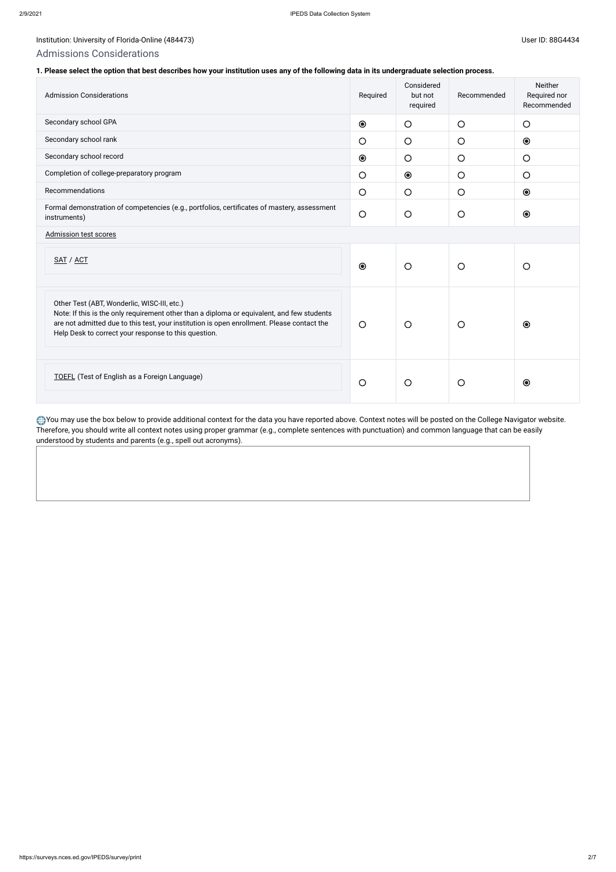## Institution: University of Florida-Online (484473) Channel Assembly of Florida-Online (484473)

## Admissions Considerations

### **1. Please select the option that best describes how your institution uses any of the following data in its undergraduate selection process.**

| <b>Admission Considerations</b>                                                                                                                                                                                                                                                                 | Required   | Considered<br>but not<br>required | Recommended | Neither<br>Required nor<br>Recommended |
|-------------------------------------------------------------------------------------------------------------------------------------------------------------------------------------------------------------------------------------------------------------------------------------------------|------------|-----------------------------------|-------------|----------------------------------------|
| Secondary school GPA                                                                                                                                                                                                                                                                            | $\odot$    | $\bigcirc$                        | $\bigcirc$  | $\bigcirc$                             |
| Secondary school rank                                                                                                                                                                                                                                                                           | $\bigcirc$ | $\bigcirc$                        | $\bigcirc$  | $\odot$                                |
| Secondary school record                                                                                                                                                                                                                                                                         | $\odot$    | $\bigcirc$                        | $\bigcirc$  | $\bigcirc$                             |
| Completion of college-preparatory program                                                                                                                                                                                                                                                       | $\bigcirc$ | $\odot$                           | $\bigcirc$  | $\bigcirc$                             |
| Recommendations                                                                                                                                                                                                                                                                                 | $\bigcirc$ | $\bigcirc$                        | $\bigcirc$  | $\odot$                                |
| Formal demonstration of competencies (e.g., portfolios, certificates of mastery, assessment<br>instruments)                                                                                                                                                                                     | $\bigcirc$ | $\bigcirc$                        | $\bigcirc$  | $\odot$                                |
| <b>Admission test scores</b>                                                                                                                                                                                                                                                                    |            |                                   |             |                                        |
| SAT / ACT                                                                                                                                                                                                                                                                                       | $\odot$    | $\circ$                           | $\bigcirc$  | $\bigcirc$                             |
| Other Test (ABT, Wonderlic, WISC-III, etc.)<br>Note: If this is the only requirement other than a diploma or equivalent, and few students<br>are not admitted due to this test, your institution is open enrollment. Please contact the<br>Help Desk to correct your response to this question. | $\bigcirc$ | $\bigcirc$                        | $\circ$     | $\odot$                                |
| <b>TOEFL</b> (Test of English as a Foreign Language)                                                                                                                                                                                                                                            | $\bigcirc$ | $\circ$                           | $\bigcirc$  | $\odot$                                |

You may use the box below to provide additional context for the data you have reported above. Context notes will be posted on the College Navigator website. Therefore, you should write all context notes using proper grammar (e.g., complete sentences with punctuation) and common language that can be easily understood by students and parents (e.g., spell out acronyms).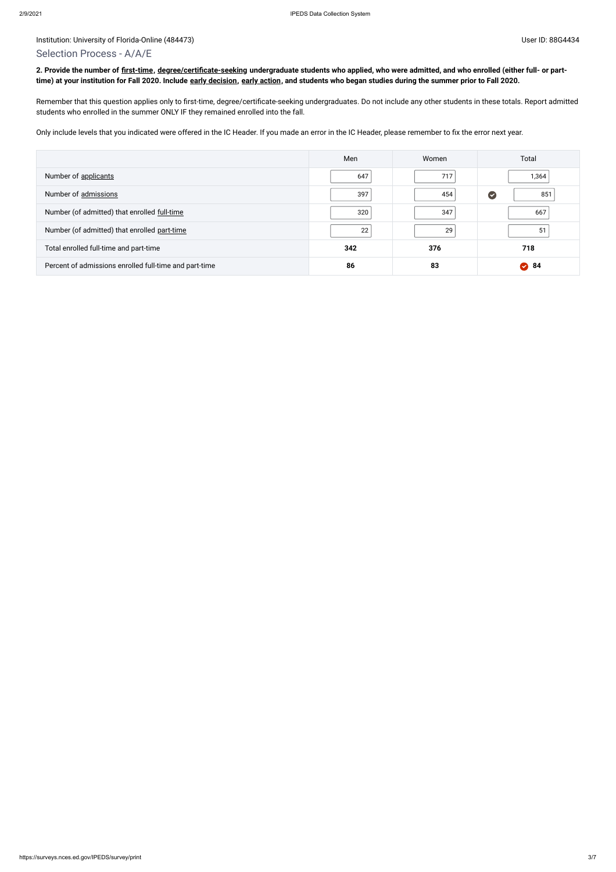#### Institution: University of Florida-Online (484473) Subset ID: 88G4434

## Selection Process - A/A/E

**2. Provide the number of [first-time,](javascript:openglossary(241)) [degree/certificate-seeking](javascript:openglossary(171)) undergraduate students who applied, who were admitted, and who enrolled (either full- or parttime) at your institution for Fall 2020. Include [early decision,](javascript:openglossary(705)) [early action,](javascript:openglossary(703)) and students who began studies during the summer prior to Fall 2020.**

Remember that this question applies only to first-time, degree/certificate-seeking undergraduates. Do not include any other students in these totals. Report admitted students who enrolled in the summer ONLY IF they remained enrolled into the fall.

Only include levels that you indicated were offered in the IC Header. If you made an error in the IC Header, please remember to fix the error next year.

|                                                        | Men | Women | Total    |
|--------------------------------------------------------|-----|-------|----------|
| Number of applicants                                   | 647 | 717   | 1,364    |
| Number of admissions                                   | 397 | 454   | C<br>851 |
| Number (of admitted) that enrolled full-time           | 320 | 347   | 667      |
| Number (of admitted) that enrolled part-time           | 22  | 29    | 51       |
| Total enrolled full-time and part-time                 | 342 | 376   | 718      |
| Percent of admissions enrolled full-time and part-time | 86  | 83    | 2 84     |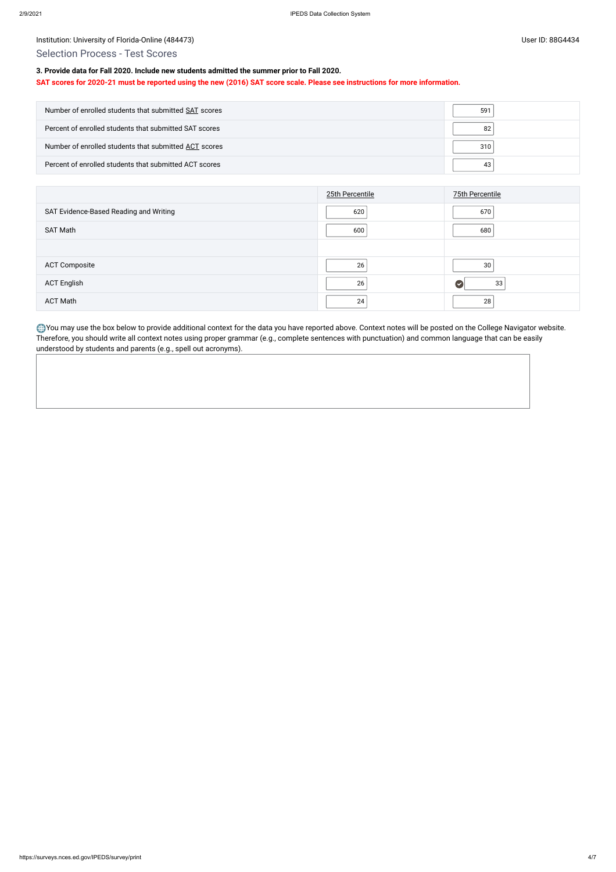## Institution: University of Florida-Online (484473) Channel Assembly of Florida-Online (484473)

## Selection Process - Test Scores

## **3. Provide data for Fall 2020. Include new students admitted the summer prior to Fall 2020.**

#### **SAT scores for 2020-21 must be reported using the new (2016) SAT score scale. Please see instructions for more information.**

| Number of enrolled students that submitted SAT scores  | 591 |
|--------------------------------------------------------|-----|
| Percent of enrolled students that submitted SAT scores | 82  |
| Number of enrolled students that submitted ACT scores  | 310 |
| Percent of enrolled students that submitted ACT scores |     |

|                                        | 25th Percentile | <b>75th Percentile</b> |
|----------------------------------------|-----------------|------------------------|
| SAT Evidence-Based Reading and Writing | 620             | 670                    |
| SAT Math                               | 600             | 680                    |
|                                        |                 |                        |
| <b>ACT Composite</b>                   | 26              | 30                     |
| <b>ACT English</b>                     | 26              | 33                     |
| <b>ACT Math</b>                        | 24              | 28                     |

You may use the box below to provide additional context for the data you have reported above. Context notes will be posted on the College Navigator website. Therefore, you should write all context notes using proper grammar (e.g., complete sentences with punctuation) and common language that can be easily understood by students and parents (e.g., spell out acronyms).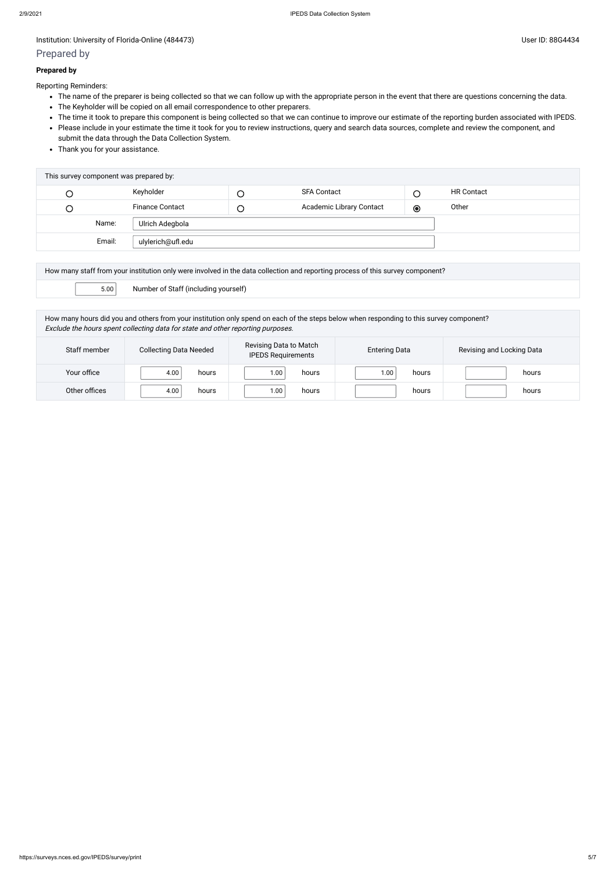#### Institution: University of Florida-Online (484473) Subset ID: 88G4434

## Prepared by

#### **Prepared by**

Reporting Reminders:

- The name of the preparer is being collected so that we can follow up with the appropriate person in the event that there are questions concerning the data.
- The Keyholder will be copied on all email correspondence to other preparers.
- The time it took to prepare this component is being collected so that we can continue to improve our estimate of the reporting burden associated with IPEDS.
- Please include in your estimate the time it took for you to review instructions, query and search data sources, complete and review the component, and submit the data through the Data Collection System.
- Thank you for your assistance.

| This survey component was prepared by: |        |                        |        |                          |         |                   |
|----------------------------------------|--------|------------------------|--------|--------------------------|---------|-------------------|
| C                                      |        | Keyholder              | $\cup$ | <b>SFA Contact</b>       |         | <b>HR Contact</b> |
| О                                      |        | <b>Finance Contact</b> | $\cup$ | Academic Library Contact | $\odot$ | Other             |
|                                        | Name:  | Ulrich Adegbola        |        |                          |         |                   |
|                                        | Email: | ulylerich@ufl.edu      |        |                          |         |                   |
|                                        |        |                        |        |                          |         |                   |

| How many staff from your institution only were involved in the data collection and reporting process of this survey component? |                                      |  |  |
|--------------------------------------------------------------------------------------------------------------------------------|--------------------------------------|--|--|
| 5.00                                                                                                                           | Number of Staff (including yourself) |  |  |

How many hours did you and others from your institution only spend on each of the steps below when responding to this survey component? Exclude the hours spent collecting data for state and other reporting purposes.

| Staff member  | <b>Collecting Data Needed</b> | Revising Data to Match<br><b>IPEDS Requirements</b> | <b>Entering Data</b> | Revising and Locking Data |
|---------------|-------------------------------|-----------------------------------------------------|----------------------|---------------------------|
| Your office   | 4.00<br>hours                 | 00. ا<br>hours                                      | 1.00<br>hours        | hours                     |
| Other offices | 4.00<br>hours                 | .00<br>hours                                        | hours                | hours                     |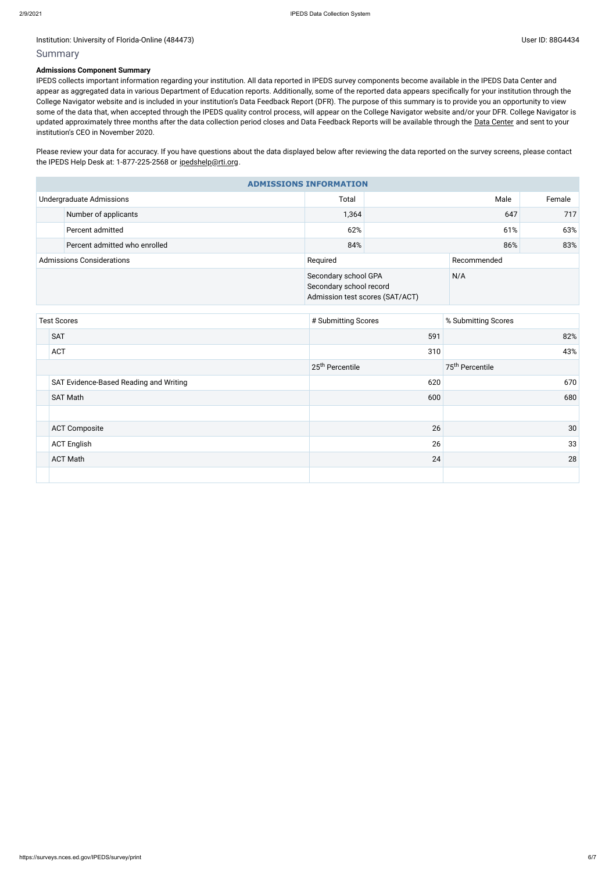#### Institution: University of Florida-Online (484473) Channel Assembly 10 and 20 and 20 and 20 and 20 and 20 and 20 and 20 and 20 and 20 and 20 and 20 and 20 and 20 and 20 and 20 and 20 and 20 and 20 and 20 and 20 and 20 and

## Summary

#### **Admissions Component Summary**

Please review your data for accuracy. If you have questions about the data displayed below after reviewing the data reported on the survey screens, please contact the IPEDS Help Desk at: 1-877-225-2568 or [ipedshelp@rti.org](mailto:ipedshelp@rti.org).

IPEDS collects important information regarding your institution. All data reported in IPEDS survey components become available in the IPEDS Data Center and appear as aggregated data in various Department of Education reports. Additionally, some of the reported data appears specifically for your institution through the College Navigator website and is included in your institution's Data Feedback Report (DFR). The purpose of this summary is to provide you an opportunity to view some of the data that, when accepted through the IPEDS quality control process, will appear on the College Navigator website and/or your DFR. College Navigator is updated approximately three months after the data collection period closes and Data Feedback Reports will be available through the Data [Center](https://nces.ed.gov/ipeds/use-the-data) and sent to your institution's CEO in November 2020.

| <b>ADMISSIONS INFORMATION</b>    |                               |                                                                                    |             |     |        |  |
|----------------------------------|-------------------------------|------------------------------------------------------------------------------------|-------------|-----|--------|--|
|                                  | Undergraduate Admissions      | Total                                                                              | Male        |     | Female |  |
|                                  | Number of applicants          | 1,364                                                                              | 647         |     | 717    |  |
|                                  | Percent admitted              | 62%                                                                                | 61%         |     | 63%    |  |
|                                  | Percent admitted who enrolled | 84%                                                                                |             | 83% |        |  |
| <b>Admissions Considerations</b> |                               | Required                                                                           | Recommended |     |        |  |
|                                  |                               | Secondary school GPA<br>Secondary school record<br>Admission test scores (SAT/ACT) |             | N/A |        |  |

| <b>Test Scores</b> |                                        | # Submitting Scores         | % Submitting Scores         |
|--------------------|----------------------------------------|-----------------------------|-----------------------------|
|                    | <b>SAT</b>                             | 591                         | 82%                         |
|                    | <b>ACT</b>                             | 310                         | 43%                         |
|                    |                                        | 25 <sup>th</sup> Percentile | 75 <sup>th</sup> Percentile |
|                    | SAT Evidence-Based Reading and Writing | 620                         | 670                         |
|                    | <b>SAT Math</b>                        | 600                         | 680                         |
|                    |                                        |                             |                             |
|                    | <b>ACT Composite</b>                   | 26                          | 30                          |
|                    | <b>ACT English</b>                     | 26                          | 33                          |
|                    | <b>ACT Math</b>                        | 24                          | 28                          |
|                    |                                        |                             |                             |